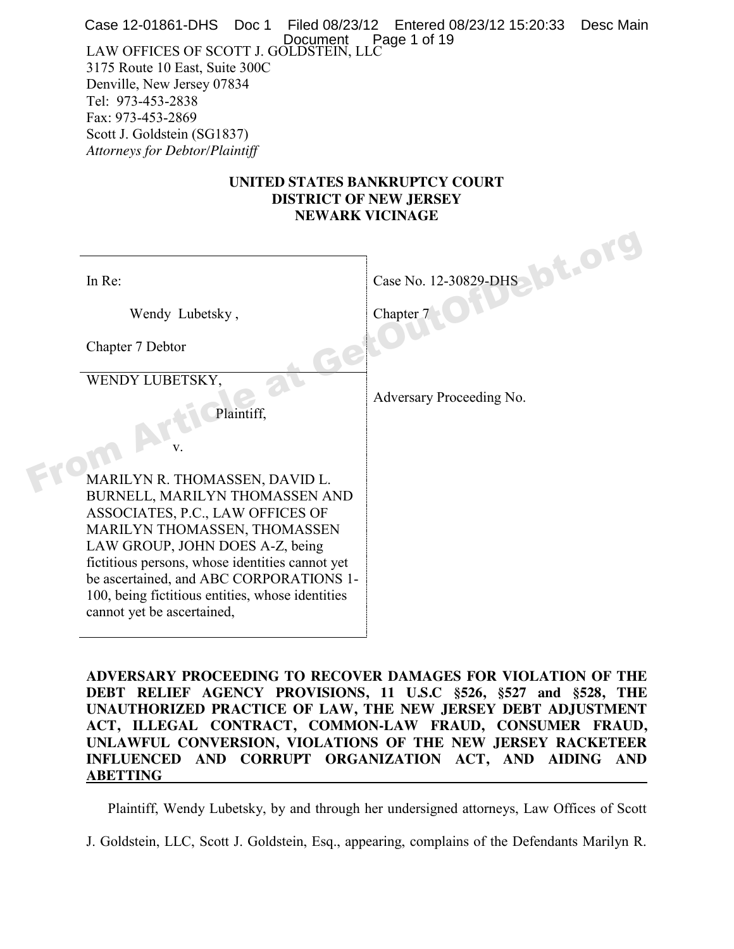Document P<br>LAW OFFICES OF SCOTT J. GOLDSTEIN, LLC 3175 Route 10 East, Suite 300C Denville, New Jersey 07834 Tel: 973-453-2838 Fax: 973-453-2869 Scott J. Goldstein (SG1837) *Attorneys for Debtor/Plaintiff*  Case 12-01861-DHS Doc 1 Filed 08/23/12 Entered 08/23/12 15:20:33 Desc Main Page 1 of 19

#### **UNITED STATES BANKRUPTCY COURT DISTRICT OF NEW JERSEY NEWARK VICINAGE**

| In $Re:$                                                                                             | Case No. 12-30829-DHS    |
|------------------------------------------------------------------------------------------------------|--------------------------|
| Wendy Lubetsky,                                                                                      | Chapter 7                |
| Chapter 7 Debtor                                                                                     |                          |
| WENDY LUBETSKY,<br>Plaintiff,                                                                        | Adversary Proceeding No. |
|                                                                                                      |                          |
| MARILYN R. THOMASSEN, DAVID L.<br>BURNELL, MARILYN THOMASSEN AND<br>ASSOCIATES, P.C., LAW OFFICES OF |                          |
| MARILYN THOMASSEN, THOMASSEN<br>LAW GROUP, JOHN DOES A-Z, being                                      |                          |
| fictitious persons, whose identities cannot yet<br>be ascertained, and ABC CORPORATIONS 1-           |                          |
| 100, being fictitious entities, whose identities<br>cannot yet be ascertained,                       |                          |

**ADVERSARY PROCEEDING TO RECOVER DAMAGES FOR VIOLATION OF THE DEBT RELIEF AGENCY PROVISIONS, 11 U.S.C §526, §527 and §528, THE UNAUTHORIZED PRACTICE OF LAW, THE NEW JERSEY DEBT ADJUSTMENT ACT, ILLEGAL CONTRACT, COMMON-LAW FRAUD, CONSUMER FRAUD, UNLAWFUL CONVERSION, VIOLATIONS OF THE NEW JERSEY RACKETEER INFLUENCED AND CORRUPT ORGANIZATION ACT, AND AIDING AND ABETTING** 

Plaintiff, Wendy Lubetsky, by and through her undersigned attorneys, Law Offices of Scott

J. Goldstein, LLC, Scott J. Goldstein, Esq., appearing, complains of the Defendants Marilyn R.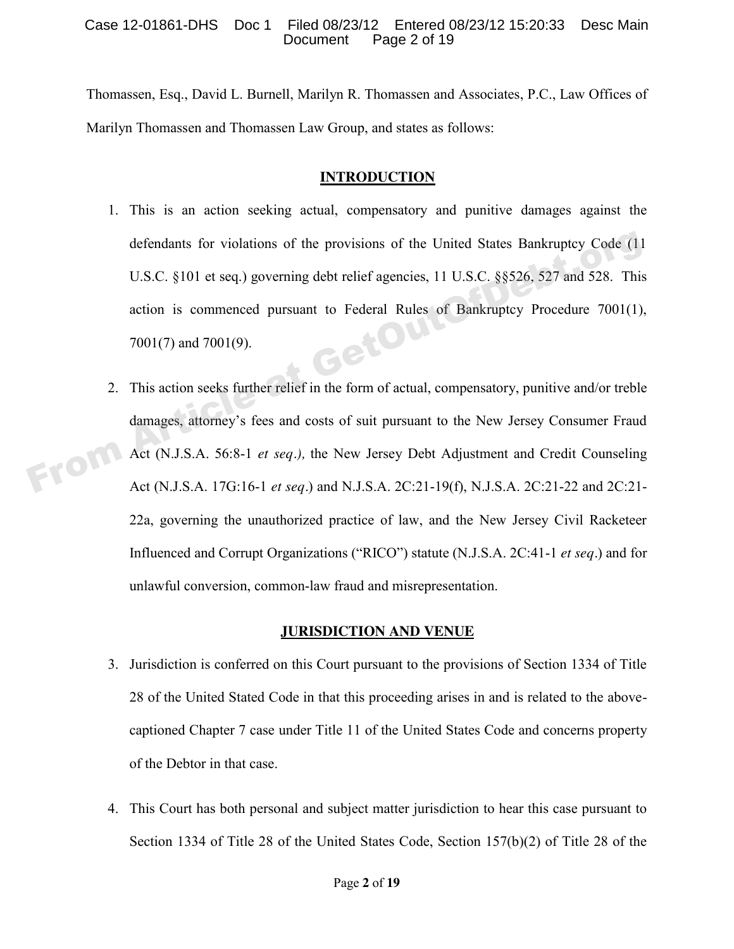Thomassen, Esq., David L. Burnell, Marilyn R. Thomassen and Associates, P.C., Law Offices of Marilyn Thomassen and Thomassen Law Group, and states as follows:

### **INTRODUCTION**

- 1. This is an action seeking actual, compensatory and punitive damages against the defendants for violations of the provisions of the United States Bankruptcy Code (11 U.S.C. §101 et seq.) governing debt relief agencies, 11 U.S.C. §§526, 527 and 528. This action is commenced pursuant to Federal Rules of Bankruptcy Procedure 7001(1),<br>7001(7) and 7001(9). 7001(7) and 7001(9). defendants for violations of the provisions of the United States Bankruptcy Code (11<br>
U.S.C. §101 et seq.) governing debt relief agencies, 11 U.S.C. §§526, 527 and 528. This<br>
action is commenced pursuant to Federal Rules
	- 2. This action seeks further relief in the form of actual, compensatory, punitive and/or treble damages, attorney's fees and costs of suit pursuant to the New Jersey Consumer Fraud Act (N.J.S.A. 56:8-1 *et seq.),* the New Jersey Debt Adjustment and Credit Counseling Act (N.J.S.A. 17G:16-1 *et seq.*) and N.J.S.A. 2C:21-19(f), N.J.S.A. 2C:21-22 and 2C:21- 22a, governing the unauthorized practice of law, and the New Jersey Civil Racketeer Influenced and Corrupt Organizations ("RICO") statute (N.J.S.A. 2C:41-1 *et seq.*) and for unlawful conversion, common-law fraud and misrepresentation.

#### **JURISDICTION AND VENUE**

- 3. Jurisdiction is conferred on this Court pursuant to the provisions of Section 1334 of Title 28 of the United Stated Code in that this proceeding arises in and is related to the abovecaptioned Chapter 7 case under Title 11 of the United States Code and concerns property of the Debtor in that case.
- 4. This Court has both personal and subject matter jurisdiction to hear this case pursuant to Section 1334 of Title 28 of the United States Code, Section 157(b)(2) of Title 28 of the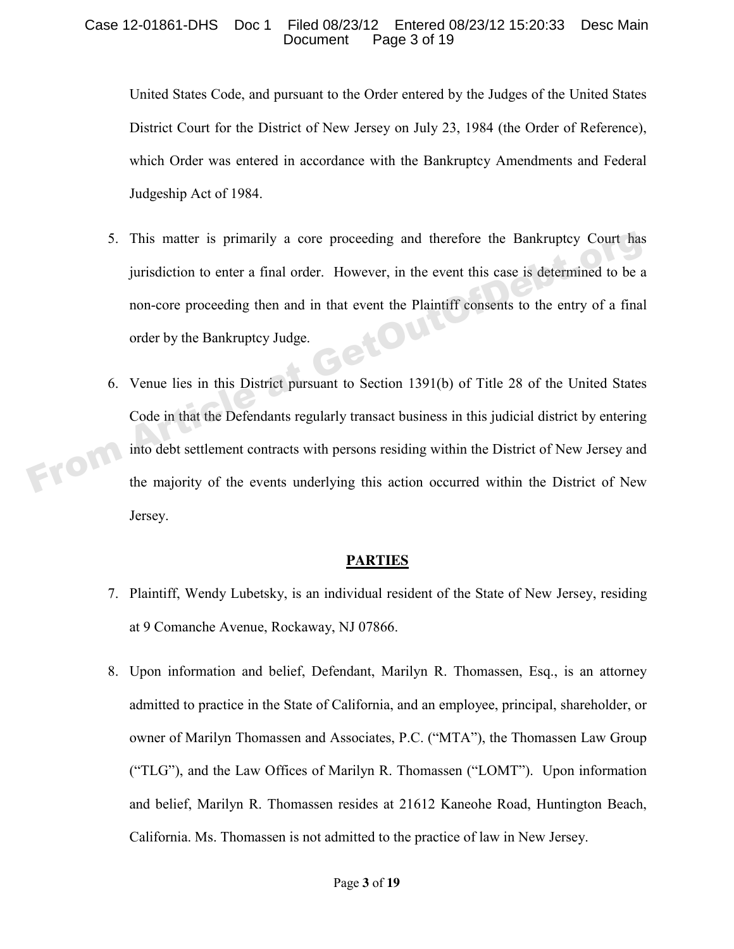#### Case 12-01861-DHS Doc 1 Filed 08/23/12 Entered 08/23/12 15:20:33 Desc Main Page 3 of 19

United States Code, and pursuant to the Order entered by the Judges of the United States District Court for the District of New Jersey on July 23, 1984 (the Order of Reference), which Order was entered in accordance with the Bankruptcy Amendments and Federal Judgeship Act of 1984.

- 5. This matter is primarily a core proceeding and therefore the Bankruptcy Court has jurisdiction to enter a final order. However, in the event this case is determined to be a non-core proceeding then and in that event the Plaintiff consents to the entry of a final<br>order by the Bankruptcy Judge. order by the Bankruptcy Judge. From Article at a primarily a core proceeding and therefore the Bankruptcy Court has<br>invisible to enter a final order. However, in the event this case is determined to be a<br>non-core proceeding then and in that event the Pl
	- 6. Venue lies in this District pursuant to Section 1391(b) of Title 28 of the United States Code in that the Defendants regularly transact business in this judicial district by entering into debt settlement contracts with persons residing within the District of New Jersey and the majority of the events underlying this action occurred within the District of New Jersey.

#### **PARTIES**

- 7. Plaintiff, Wendy Lubetsky, is an individual resident of the State of New Jersey, residing at 9 Comanche Avenue, Rockaway, NJ 07866.
- 8. Upon information and belief, Defendant, Marilyn R. Thomassen, Esq., is an attorney admitted to practice in the State of California, and an employee, principal, shareholder, or owner of Marilyn Thomassen and Associates, P.C. ("MTA"), the Thomassen Law Group ("TLG"), and the Law Offices of Marilyn R. Thomassen ("LOMT"). Upon information and belief, Marilyn R. Thomassen resides at 21612 Kaneohe Road, Huntington Beach, California. Ms. Thomassen is not admitted to the practice of law in New Jersey.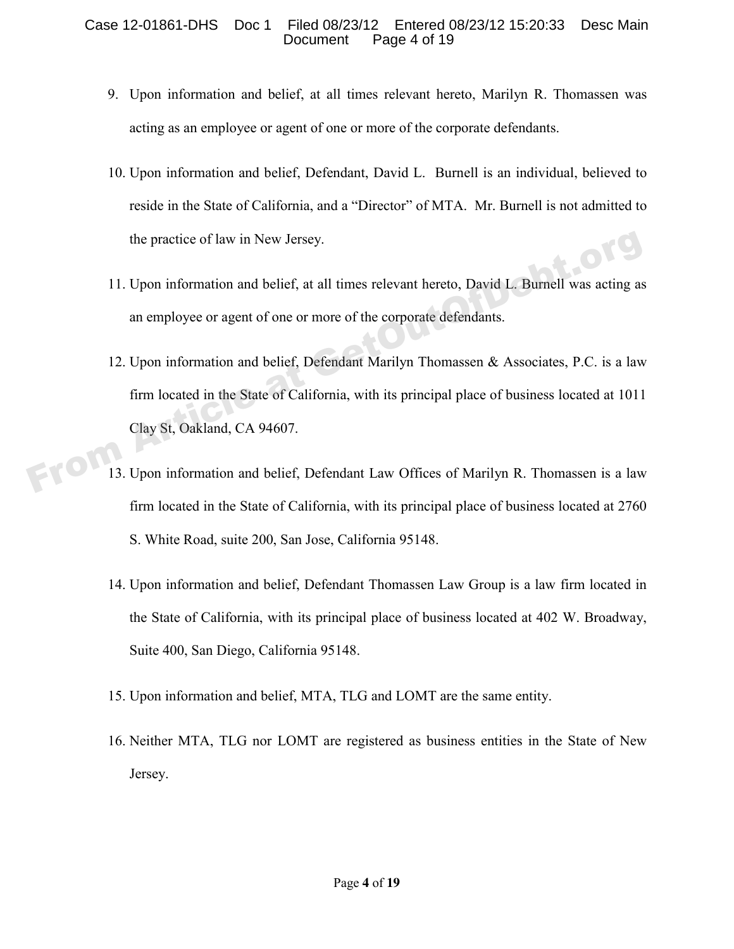#### Case 12-01861-DHS Doc 1 Filed 08/23/12 Entered 08/23/12 15:20:33 Desc Main Document Page 4 of 19

- 9. Upon information and belief, at all times relevant hereto, Marilyn R. Thomassen was acting as an employee or agent of one or more of the corporate defendants.
- 10. Upon information and belief, Defendant, David L. Burnell is an individual, believed to reside in the State of California, and a "Director" of MTA. Mr. Burnell is not admitted to the practice of law in New Jersey.
- 11. Upon information and belief, at all times relevant hereto, David L. Burnell was acting as an employee or agent of one or more of the corporate defendants.
- 12. Upon information and belief, Defendant Marilyn Thomassen & Associates, P.C. is a law firm located in the State of California, with its principal place of business located at 1011 Clay St, Oakland, CA 94607. the practice of law in New Jersey.<br>
11. Upon information and belief, at all times relevant hereto, David L. Burnell was acting as<br>
an employee or agent of one or more of the corporate defendants.<br>
12. Upon information and
	- 13. Upon information and belief, Defendant Law Offices of Marilyn R. Thomassen is a law firm located in the State of California, with its principal place of business located at 2760 S. White Road, suite 200, San Jose, California 95148.
	- 14. Upon information and belief, Defendant Thomassen Law Group is a law firm located in the State of California, with its principal place of business located at 402 W. Broadway, Suite 400, San Diego, California 95148.
	- 15. Upon information and belief, MTA, TLG and LOMT are the same entity.
	- 16. Neither MTA, TLG nor LOMT are registered as business entities in the State of New Jersey.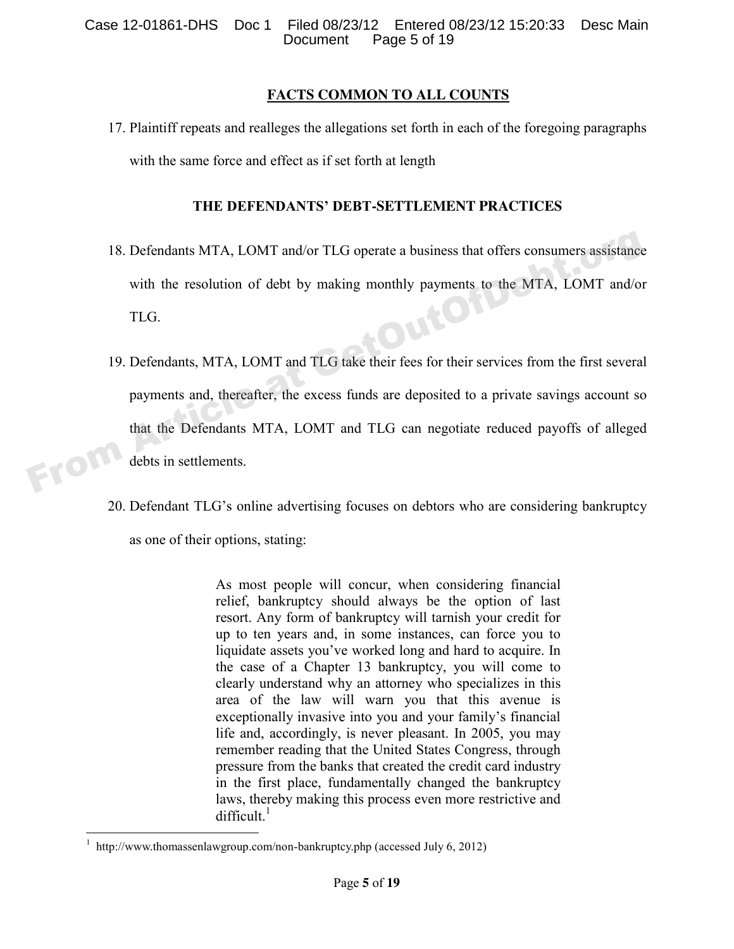#### **FACTS COMMON TO ALL COUNTS**

17. Plaintiff repeats and realleges the allegations set forth in each of the foregoing paragraphs with the same force and effect as if set forth at length

### **THE DEFENDANTS' DEBT-SETTLEMENT PRACTICES**

- 18. Defendants MTA, LOMT and/or TLG operate a business that offers consumers assistance with the resolution of debt by making monthly payments to the MTA, LOMT and/or TLG. 19. Defendants, MTA, LOMT and TLG take their fees for their services from the first several
- payments and, thereafter, the excess funds are deposited to a private savings account so that the Defendants MTA, LOMT and TLG can negotiate reduced payoffs of alleged debts in settlements. TRO 18. Defendants MTA, LOMT and/or TLG operate a business that offers consumers assistance<br>with the resolution of debt by making monthly payments to the MTA, LOMT and/or<br>TLG.<br>19. Defendants, MTA, LOMT and TLG take their f
	- 20. Defendant TLG's online advertising focuses on debtors who are considering bankruptcy as one of their options, stating:

As most people will concur, when considering financial relief, bankruptcy should always be the option of last resort. Any form of bankruptcy will tarnish your credit for up to ten years and, in some instances, can force you to liquidate assets you've worked long and hard to acquire. In the case of a Chapter 13 bankruptcy, you will come to clearly understand why an attorney who specializes in this area of the law will warn you that this avenue is exceptionally invasive into you and your family's financial life and, accordingly, is never pleasant. In 2005, you may remember reading that the United States Congress, through pressure from the banks that created the credit card industry in the first place, fundamentally changed the bankruptcy laws, thereby making this process even more restrictive and  $difficult.<sup>1</sup>$ 

 $\overline{a}$ 

<sup>1</sup> http://www.thomassenlawgroup.com/non-bankruptcy.php (accessed July 6, 2012)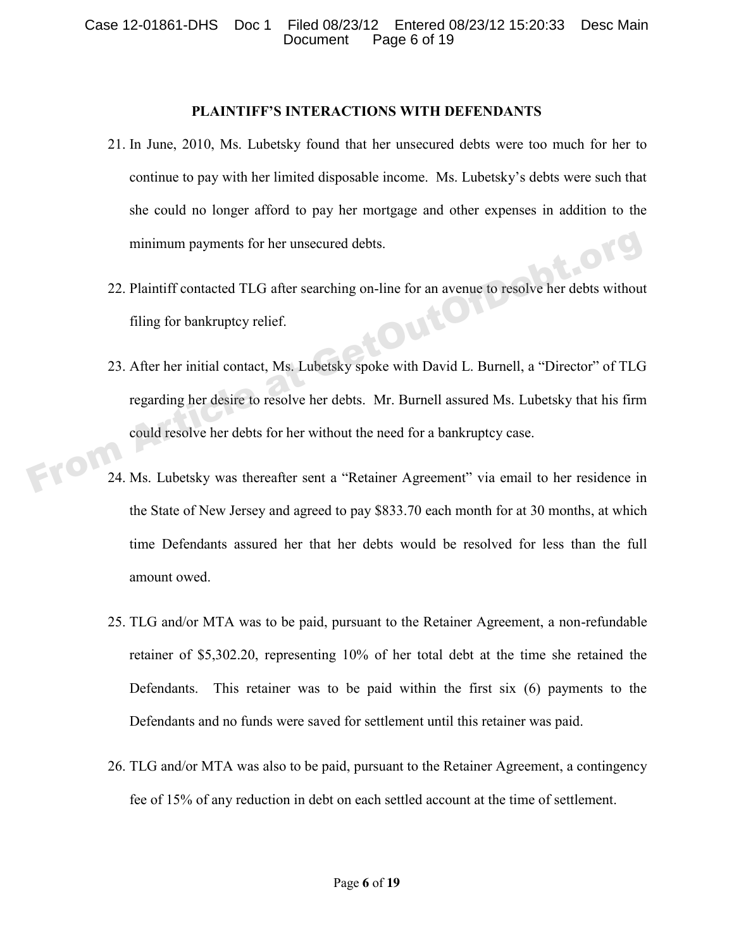#### **PLAINTIFF'S INTERACTIONS WITH DEFENDANTS**

- 21. In June, 2010, Ms. Lubetsky found that her unsecured debts were too much for her to continue to pay with her limited disposable income. Ms. Lubetsky's debts were such that she could no longer afford to pay her mortgage and other expenses in addition to the minimum payments for her unsecured debts.
- 22. Plaintiff contacted TLG after searching on-line for an avenue to resolve her debts without filing for bankruptcy relief. filing for bankruptcy relief.
- 23. After her initial contact, Ms. Lubetsky spoke with David L. Burnell, a "Director" of TLG regarding her desire to resolve her debts. Mr. Burnell assured Ms. Lubetsky that his firm could resolve her debts for her without the need for a bankruptcy case. minimum payments for her unsecured debts.<br>
22. Plaintiff contacted TLG after searching on-line for an avenue to resolve her debts without<br>
filing for bankruptcy relief.<br>
23. After her initial contact, Ms. Lubetsky spoke wi
- 24. Ms. Lubetsky was thereafter sent a "Retainer Agreement" via email to her residence in the State of New Jersey and agreed to pay \$833.70 each month for at 30 months, at which time Defendants assured her that her debts would be resolved for less than the full amount owed.
	- 25. TLG and/or MTA was to be paid, pursuant to the Retainer Agreement, a non-refundable retainer of \$5,302.20, representing 10% of her total debt at the time she retained the Defendants. This retainer was to be paid within the first six (6) payments to the Defendants and no funds were saved for settlement until this retainer was paid.
	- 26. TLG and/or MTA was also to be paid, pursuant to the Retainer Agreement, a contingency fee of 15% of any reduction in debt on each settled account at the time of settlement.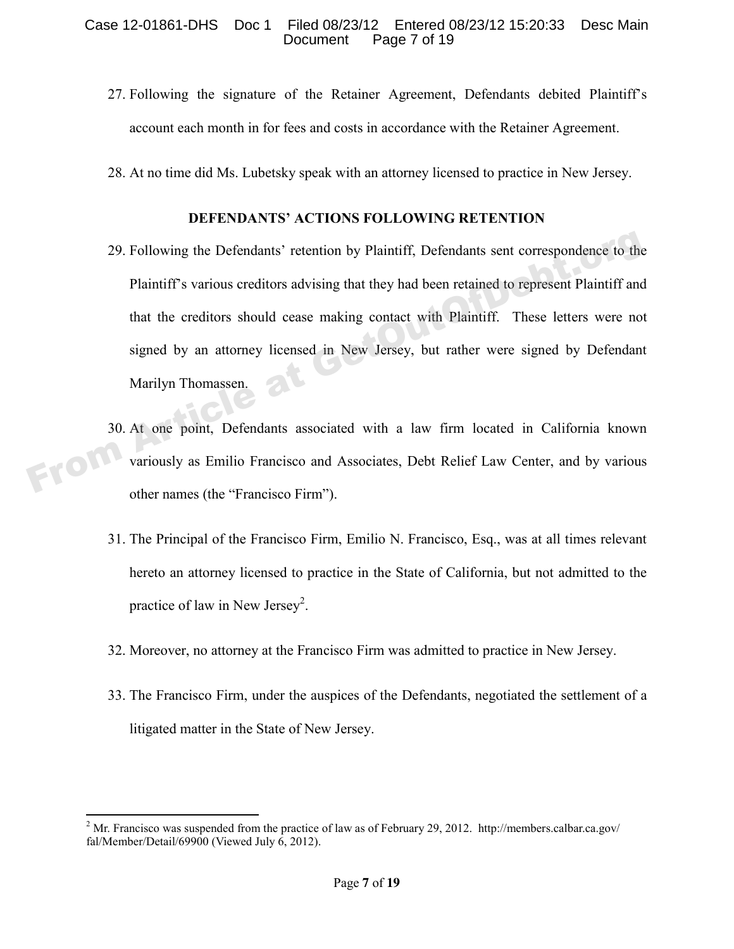- 27. Following the signature of the Retainer Agreement, Defendants debited Plaintiff's account each month in for fees and costs in accordance with the Retainer Agreement.
- 28. At no time did Ms. Lubetsky speak with an attorney licensed to practice in New Jersey.

### **DEFENDANTS' ACTIONS FOLLOWING RETENTION**

- 29. Following the Defendants' retention by Plaintiff, Defendants sent correspondence to the Plaintiff's various creditors advising that they had been retained to represent Plaintiff and that the creditors should cease making contact with Plaintiff. These letters were not signed by an attorney licensed in New Jersey, but rather were signed by Defendant Marilyn Thomassen. 29. Following the Defendants' retention by Plaintiff, Defendants sent correspondence to the<br>
Plaintiff's various creditors advising that they had been retained to represent Plaintiff and<br>
that the creditors should cease ma
- 30. At one point, Defendants associated with a law firm located in California known<br>variously as Emilio Francisco and Associates, Debt Relief Law Center, and by various variously as Emilio Francisco and Associates, Debt Relief Law Center, and by various other names (the "Francisco Firm").
	- 31. The Principal of the Francisco Firm, Emilio N. Francisco, Esq., was at all times relevant hereto an attorney licensed to practice in the State of California, but not admitted to the practice of law in New Jersey<sup>2</sup>.
	- 32. Moreover, no attorney at the Francisco Firm was admitted to practice in New Jersey.
	- 33. The Francisco Firm, under the auspices of the Defendants, negotiated the settlement of a litigated matter in the State of New Jersey.

 $\overline{a}$ 

<sup>&</sup>lt;sup>2</sup> Mr. Francisco was suspended from the practice of law as of February 29, 2012. http://members.calbar.ca.gov/ fal/Member/Detail/69900 (Viewed July 6, 2012).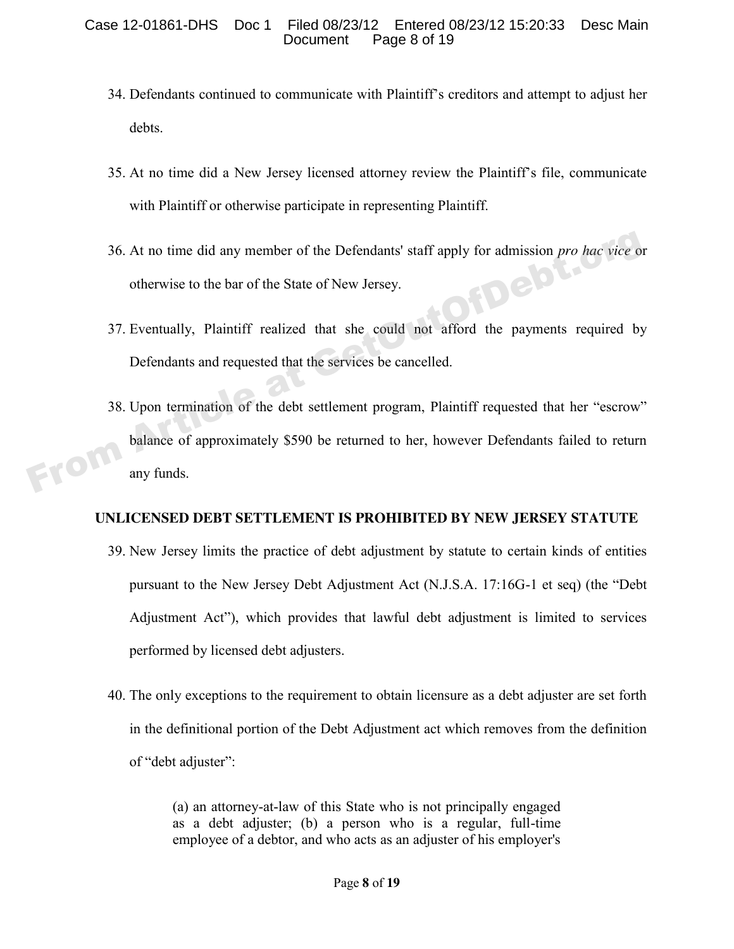- 34. Defendants continued to communicate with Plaintiff's creditors and attempt to adjust her debts.
- 35. At no time did a New Jersey licensed attorney review the Plaintiff's file, communicate with Plaintiff or otherwise participate in representing Plaintiff.
- 36. At no time did any member of the Defendants' staff apply for admission *pro hac vice* or otherwise to the bar of the State of New Jersey.
- 37. Eventually, Plaintiff realized that she could not afford the payments required by Defendants and requested that the services be cancelled.
- 38. Upon termination of the debt settlement program, Plaintiff requested that her "escrow" balance of approximately \$590 be returned to her, however Defendants failed to return any funds. The 36. At no time did any member of the Defendants' staff apply for admission *pro hac vice* of otherwise to the bar of the State of New Jersey.<br>
37. Eventually, Plaintiff realized that she could not afford the payments r

## **UNLICENSED DEBT SETTLEMENT IS PROHIBITED BY NEW JERSEY STATUTE**

- 39. New Jersey limits the practice of debt adjustment by statute to certain kinds of entities pursuant to the New Jersey Debt Adjustment Act (N.J.S.A. 17:16G-1 et seq) (the "Debt Adjustment Act"), which provides that lawful debt adjustment is limited to services performed by licensed debt adjusters.
- 40. The only exceptions to the requirement to obtain licensure as a debt adjuster are set forth in the definitional portion of the Debt Adjustment act which removes from the definition of "debt adjuster":

(a) an attorney-at-law of this State who is not principally engaged as a debt adjuster; (b) a person who is a regular, full-time employee of a debtor, and who acts as an adjuster of his employer's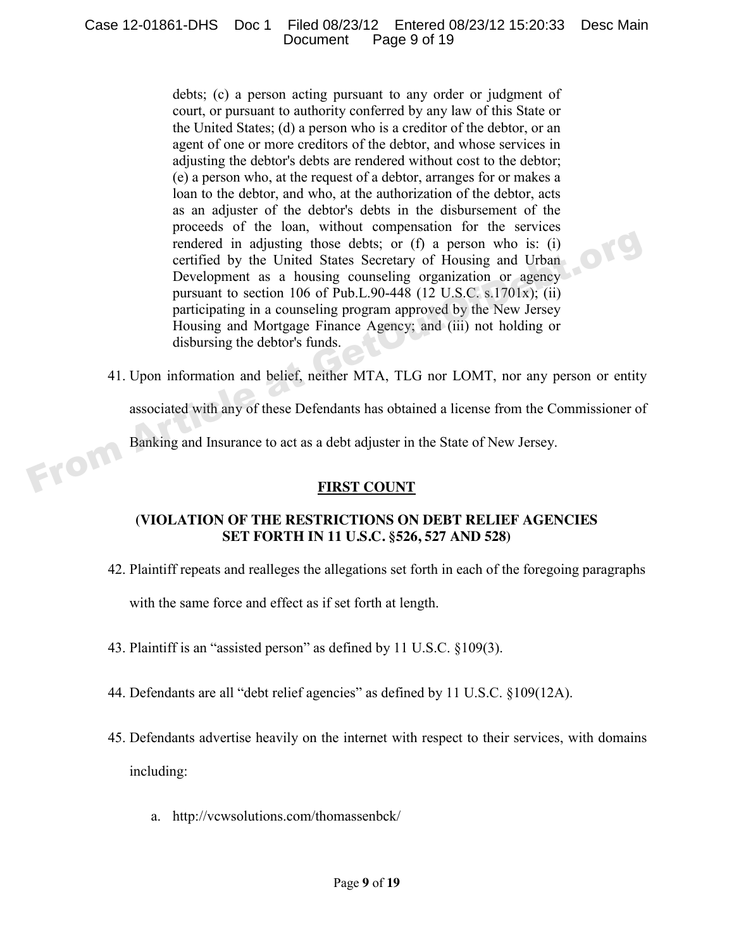debts; (c) a person acting pursuant to any order or judgment of court, or pursuant to authority conferred by any law of this State or the United States; (d) a person who is a creditor of the debtor, or an agent of one or more creditors of the debtor, and whose services in adjusting the debtor's debts are rendered without cost to the debtor; (e) a person who, at the request of a debtor, arranges for or makes a loan to the debtor, and who, at the authorization of the debtor, acts as an adjuster of the debtor's debts in the disbursement of the proceeds of the loan, without compensation for the services rendered in adjusting those debts; or (f) a person who is: (i) certified by the United States Secretary of Housing and Urban Development as a housing counseling organization or agency pursuant to section 106 of Pub.L.90-448 (12 U.S.C. s.1701x); (ii) participating in a counseling program approved by the New Jersey Housing and Mortgage Finance Agency; and (iii) not holding or disbursing the debtor's funds. From Article at a housing those debts; or (f) a person who is: (i)<br>certified by the United States Secretary of Housing and Urban<br>Development as a housing counseling organization or agency<br>pursuant to section 106 of Pub.L.9

41. Upon information and belief, neither MTA, TLG nor LOMT, nor any person or entity

associated with any of these Defendants has obtained a license from the Commissioner of

Banking and Insurance to act as a debt adjuster in the State of New Jersey.

## **FIRST COUNT**

## **(VIOLATION OF THE RESTRICTIONS ON DEBT RELIEF AGENCIES SET FORTH IN 11 U.S.C. §526, 527 AND 528)**

42. Plaintiff repeats and realleges the allegations set forth in each of the foregoing paragraphs

with the same force and effect as if set forth at length.

- 43. Plaintiff is an "assisted person" as defined by 11 U.S.C. §109(3).
- 44. Defendants are all "debt relief agencies" as defined by 11 U.S.C. §109(12A).
- 45. Defendants advertise heavily on the internet with respect to their services, with domains including:
	- a. http://vcwsolutions.com/thomassenbck/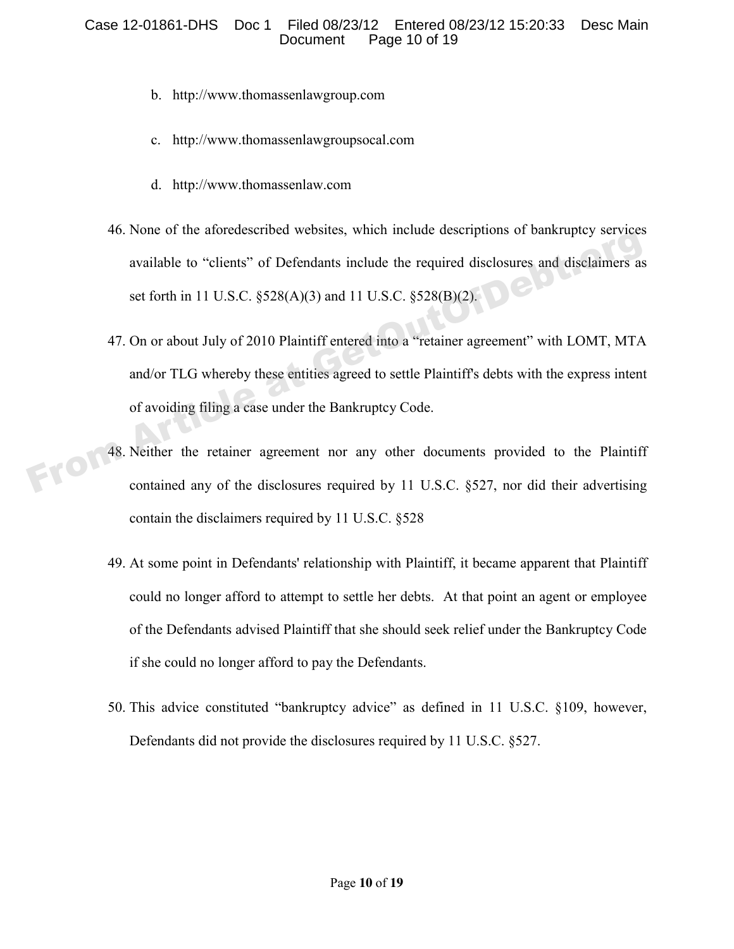#### Case 12-01861-DHS Doc 1 Filed 08/23/12 Entered 08/23/12 15:20:33 Desc Main Document Page 10 of 19

- b. http://www.thomassenlawgroup.com
- c. http://www.thomassenlawgroupsocal.com
- d. http://www.thomassenlaw.com
- 46. None of the aforedescribed websites, which include descriptions of bankruptcy services available to "clients" of Defendants include the required disclosures and disclaimers as set forth in 11 U.S.C. §528(A)(3) and 11 U.S.C. §528(B)(2).
- 47. On or about July of 2010 Plaintiff entered into a "retainer agreement" with LOMT, MTA and/or TLG whereby these entities agreed to settle Plaintiff's debts with the express intent of avoiding filing a case under the Bankruptcy Code. From Article at Getters<sup>2</sup> of Defendants include the required disclosures and disclaimers as<br>available to "clients" of Defendants include the required disclosures and disclaimers as<br>set forth in 11 U.S.C. §528(A)(3) and 11
	- 48. Neither the retainer agreement nor any other documents provided to the Plaintiff contained any of the disclosures required by 11 U.S.C. §527, nor did their advertising contain the disclaimers required by 11 U.S.C. §528
	- 49. At some point in Defendants' relationship with Plaintiff, it became apparent that Plaintiff could no longer afford to attempt to settle her debts. At that point an agent or employee of the Defendants advised Plaintiff that she should seek relief under the Bankruptcy Code if she could no longer afford to pay the Defendants.
	- 50. This advice constituted "bankruptcy advice" as defined in 11 U.S.C. §109, however, Defendants did not provide the disclosures required by 11 U.S.C. §527.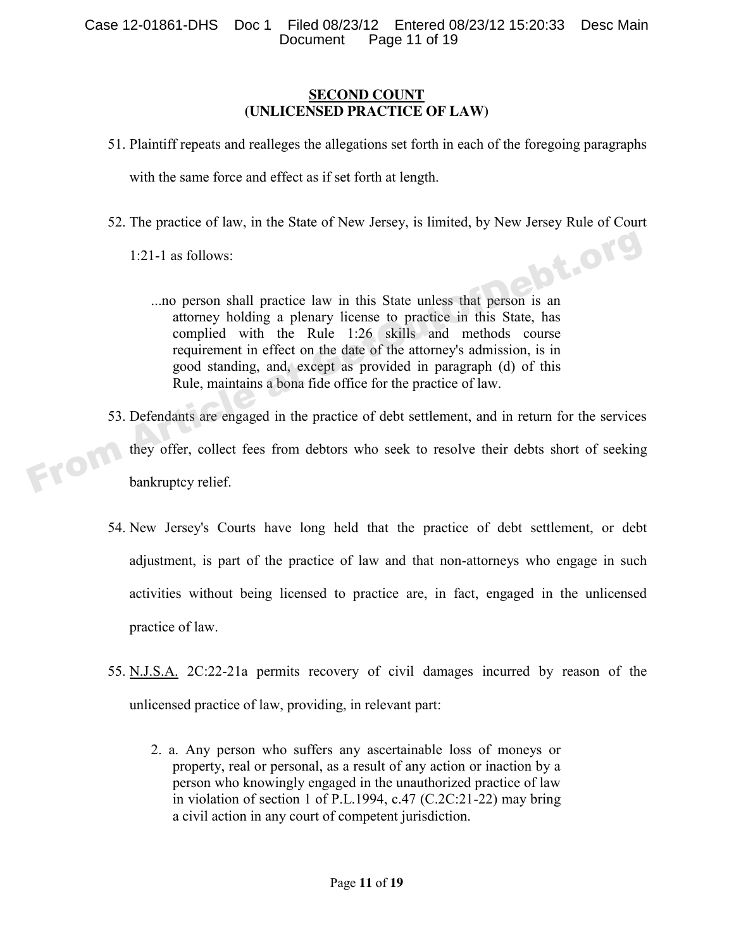#### **SECOND COUNT (UNLICENSED PRACTICE OF LAW)**

51. Plaintiff repeats and realleges the allegations set forth in each of the foregoing paragraphs

with the same force and effect as if set forth at length.

52. The practice of law, in the State of New Jersey, is limited, by New Jersey Rule of Court 1:21-1 as follows:

1:21-1 as follows:

- ...no person shall practice law in this State unless that person is an attorney holding a plenary license to practice in this State, has complied with the Rule 1:26 skills and methods course requirement in effect on the date of the attorney's admission, is in good standing, and, except as provided in paragraph (d) of this Rule, maintains a bona fide office for the practice of law.
- 53. Defendants are engaged in the practice of debt settlement, and in return for the services they offer, collect fees from debtors who seek to resolve their debts short of seeking 1:21-1 as follows:<br>
...no person shall practice law in this State unless that person is an<br>
attorney holding a plenary license to practice in this State, has<br>
complied with the Rule 1:26 skills and methods course<br>
requirem
	- 54. New Jersey's Courts have long held that the practice of debt settlement, or debt adjustment, is part of the practice of law and that non-attorneys who engage in such activities without being licensed to practice are, in fact, engaged in the unlicensed practice of law.
	- 55. N.J.S.A. 2C:22-21a permits recovery of civil damages incurred by reason of the unlicensed practice of law, providing, in relevant part:
		- 2. a. Any person who suffers any ascertainable loss of moneys or property, real or personal, as a result of any action or inaction by a person who knowingly engaged in the unauthorized practice of law in violation of section 1 of P.L.1994, c.47 (C.2C:21-22) may bring a civil action in any court of competent jurisdiction.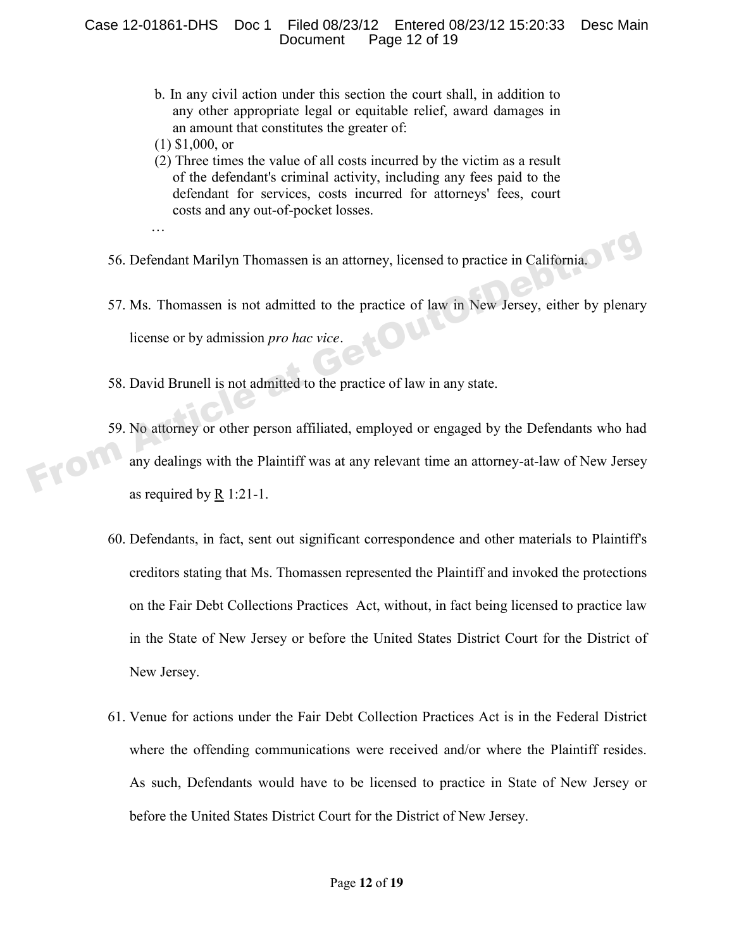- b. In any civil action under this section the court shall, in addition to any other appropriate legal or equitable relief, award damages in an amount that constitutes the greater of:
- (1) \$1,000, or
- (2) Three times the value of all costs incurred by the victim as a result of the defendant's criminal activity, including any fees paid to the defendant for services, costs incurred for attorneys' fees, court costs and any out-of-pocket losses.
- …
- 56. Defendant Marilyn Thomassen is an attorney, licensed to practice in California.
- 57. Ms. Thomassen is not admitted to the practice of law in New Jersey, either by plenary license or by admission *pro hac vice.*
- 58. David Brunell is not admitted to the practice of law in any state.
- 59. No attorney or other person affiliated, employed or engaged by the Defendants who had any dealings with the Plaintiff was at any relevant time an attorney-at-law of New Jersey as required by R 1:21-1. From Article and Marilyn Thomassen is an attorney, licensed to practice in California.<br>
57. Ms. Thomassen is not admitted to the practice of law in New Jersey, either by plenary<br>
license or by admission *pro hac vice*.<br>
58
	- 60. Defendants, in fact, sent out significant correspondence and other materials to Plaintiff's creditors stating that Ms. Thomassen represented the Plaintiff and invoked the protections on the Fair Debt Collections Practices Act, without, in fact being licensed to practice law in the State of New Jersey or before the United States District Court for the District of New Jersey.
	- 61. Venue for actions under the Fair Debt Collection Practices Act is in the Federal District where the offending communications were received and/or where the Plaintiff resides. As such, Defendants would have to be licensed to practice in State of New Jersey or before the United States District Court for the District of New Jersey.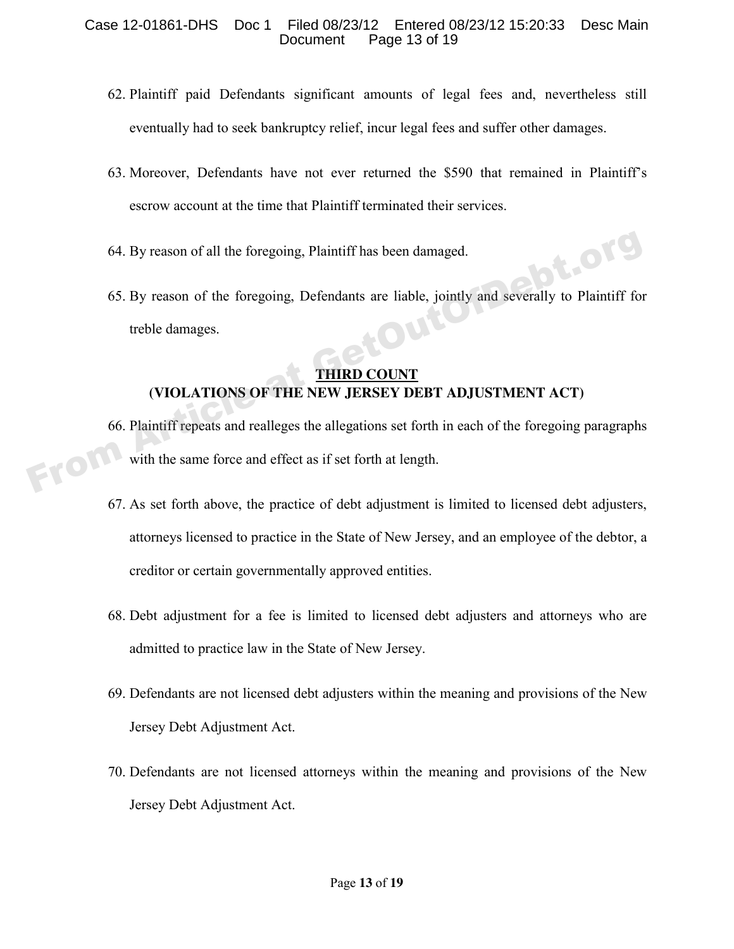- 62. Plaintiff paid Defendants significant amounts of legal fees and, nevertheless still eventually had to seek bankruptcy relief, incur legal fees and suffer other damages.
- 63. Moreover, Defendants have not ever returned the \$590 that remained in Plaintiff's escrow account at the time that Plaintiff terminated their services.
- 64. By reason of all the foregoing, Plaintiff has been damaged.
- 65. By reason of the foregoing, Defendants are liable, jointly and severally to Plaintiff for treble damages.

## **THIRD COUNT (VIOLATIONS OF THE NEW JERSEY DEBT ADJUSTMENT ACT)**

- 66. Plaintiff repeats and realleges the allegations set forth in each of the foregoing paragraphs with the same force and effect as if set forth at length. 64. By reason of all the foregoing, Plaintiff has been damaged.<br>
65. By reason of the foregoing, Defendants are liable, jointly and severally to Plaintiff for<br>
treble damages.<br> **THIRD COUNT**<br>
66. Plaintiff repeats and real
	- 67. As set forth above, the practice of debt adjustment is limited to licensed debt adjusters, attorneys licensed to practice in the State of New Jersey, and an employee of the debtor, a creditor or certain governmentally approved entities.
	- 68. Debt adjustment for a fee is limited to licensed debt adjusters and attorneys who are admitted to practice law in the State of New Jersey.
	- 69. Defendants are not licensed debt adjusters within the meaning and provisions of the New Jersey Debt Adjustment Act.
	- 70. Defendants are not licensed attorneys within the meaning and provisions of the New Jersey Debt Adjustment Act.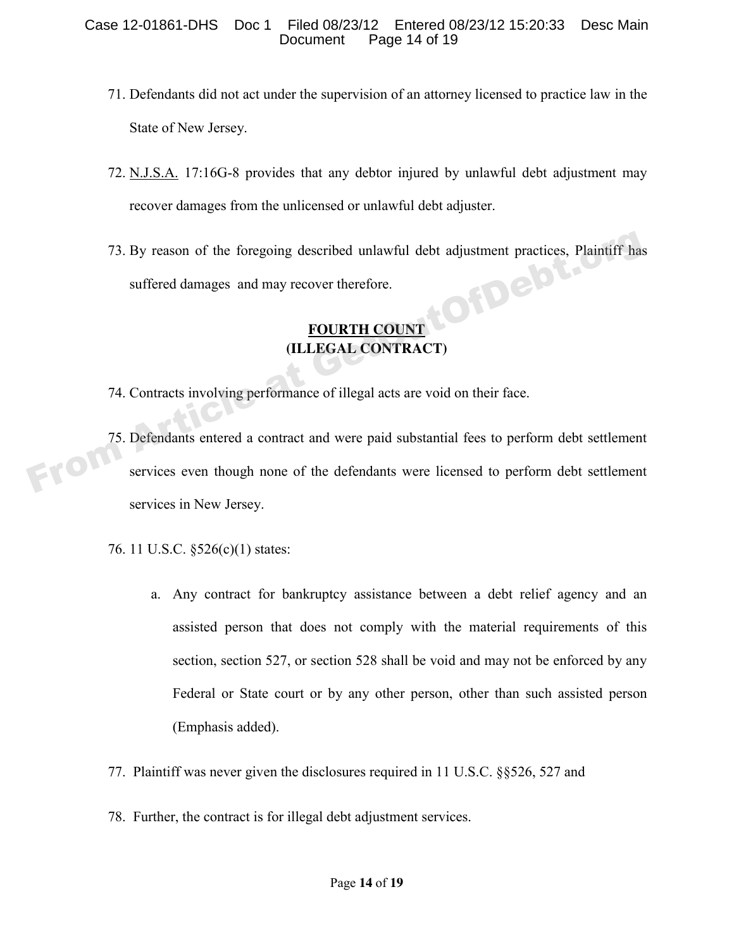- 71. Defendants did not act under the supervision of an attorney licensed to practice law in the State of New Jersey.
- 72. N.J.S.A. 17:16G-8 provides that any debtor injured by unlawful debt adjustment may recover damages from the unlicensed or unlawful debt adjuster.
- 73. By reason of the foregoing described unlawful debt adjustment practices, Plaintiff has suffered damages and may recover therefore.

# **FOURTH COUNT (ILLEGAL CONTRACT)**

- 74. Contracts involving performance of illegal acts are void on their face.
- 75. Defendants entered a contract and were paid substantial fees to perform debt settlement<br>services even though none of the defendants were licensed to perform debt settlement services even though none of the defendants were licensed to perform debt settlement services in New Jersey. The Tau Sales of the foregoing described unlawful debt adjustment practices, Plaintiff has<br>suffered damages and may recover therefore.<br>**FOURTH COUNT**<br>(ILLEGAL CONTRACT)<br>74. Contracts involving performance of illegal acts a
	- 76. 11 U.S.C. §526(c)(1) states:
		- a. Any contract for bankruptcy assistance between a debt relief agency and an assisted person that does not comply with the material requirements of this section, section 527, or section 528 shall be void and may not be enforced by any Federal or State court or by any other person, other than such assisted person (Emphasis added).
	- 77. Plaintiff was never given the disclosures required in 11 U.S.C. §§526, 527 and
	- 78. Further, the contract is for illegal debt adjustment services.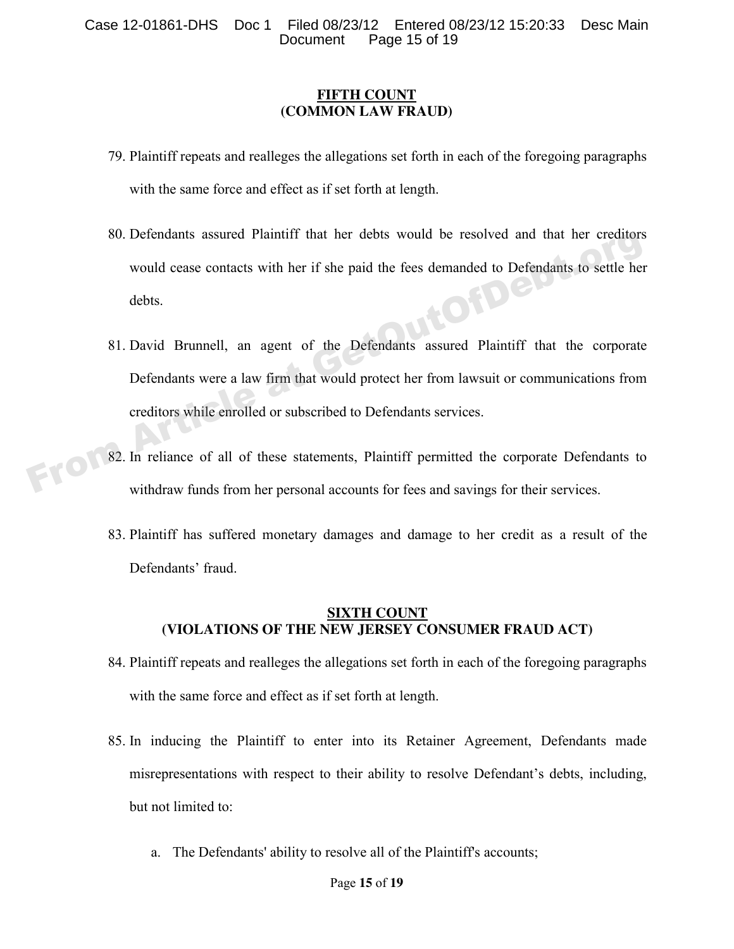#### **FIFTH COUNT (COMMON LAW FRAUD)**

- 79. Plaintiff repeats and realleges the allegations set forth in each of the foregoing paragraphs with the same force and effect as if set forth at length.
- 80. Defendants assured Plaintiff that her debts would be resolved and that her creditors would cease contacts with her if she paid the fees demanded to Defendants to settle her debts.
- 81. David Brunnell, an agent of the Defendants assured Plaintiff that the corporate Defendants were a law firm that would protect her from lawsuit or communications from creditors while enrolled or subscribed to Defendants services. 80. Detendants assured Plaintiff that her debts would be resolved and that her creditors<br>would cease contacts with her if she paid the fees demanded to Defendants to settle her<br>debts.<br>81. David Brunnell, an agent of the De
	- 82. In reliance of all of these statements, Plaintiff permitted the corporate Defendants to withdraw funds from her personal accounts for fees and savings for their services.
	- 83. Plaintiff has suffered monetary damages and damage to her credit as a result of the Defendants' fraud.

## **SIXTH COUNT (VIOLATIONS OF THE NEW JERSEY CONSUMER FRAUD ACT)**

- 84. Plaintiff repeats and realleges the allegations set forth in each of the foregoing paragraphs with the same force and effect as if set forth at length.
- 85. In inducing the Plaintiff to enter into its Retainer Agreement, Defendants made misrepresentations with respect to their ability to resolve Defendant's debts, including, but not limited to:
	- a. The Defendants' ability to resolve all of the Plaintiff's accounts;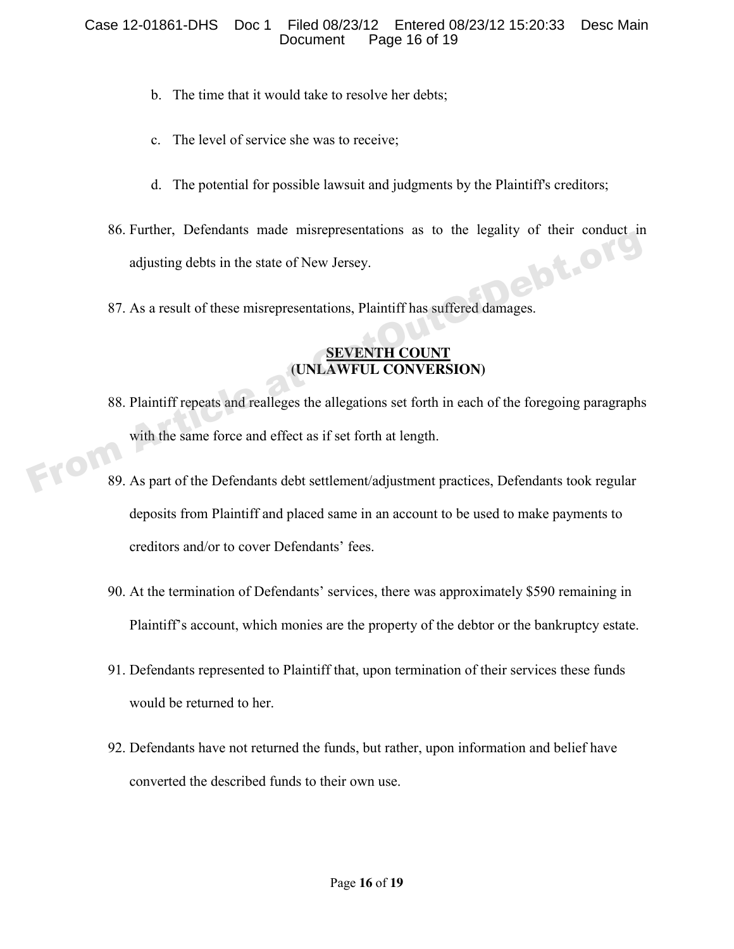#### Case 12-01861-DHS Doc 1 Filed 08/23/12 Entered 08/23/12 15:20:33 Desc Main Page 16 of 19

- b. The time that it would take to resolve her debts;
- c. The level of service she was to receive;
- d. The potential for possible lawsuit and judgments by the Plaintiff's creditors;
- 86. Further, Defendants made misrepresentations as to the legality of their conduct in adjusting debts in the state of New Jersey. adjusting debts in the state of New Jersey.
- 87. As a result of these misrepresentations, Plaintiff has suffered damages.

## **SEVENTH COUNT (UNLAWFUL CONVERSION)**

- 88. Plaintiff repeats and realleges the allegations set forth in each of the foregoing paragraphs with the same force and effect as if set forth at length. From Article at Get of New Jersey.<br>
Solding debts in the state of New Jersey.<br>
Solding debts in the state of New Jersey.<br>
Solding debts in the state of New Jersey.<br>
Solding the suffered damages.<br>
Solding the Summer COUNT<br>
- 89. As part of the Defendants debt settlement/adjustment practices, Defendants took regular deposits from Plaintiff and placed same in an account to be used to make payments to creditors and/or to cover Defendants' fees.
	- 90. At the termination of Defendants' services, there was approximately \$590 remaining in Plaintiff's account, which monies are the property of the debtor or the bankruptcy estate.
	- 91. Defendants represented to Plaintiff that, upon termination of their services these funds would be returned to her.
	- 92. Defendants have not returned the funds, but rather, upon information and belief have converted the described funds to their own use.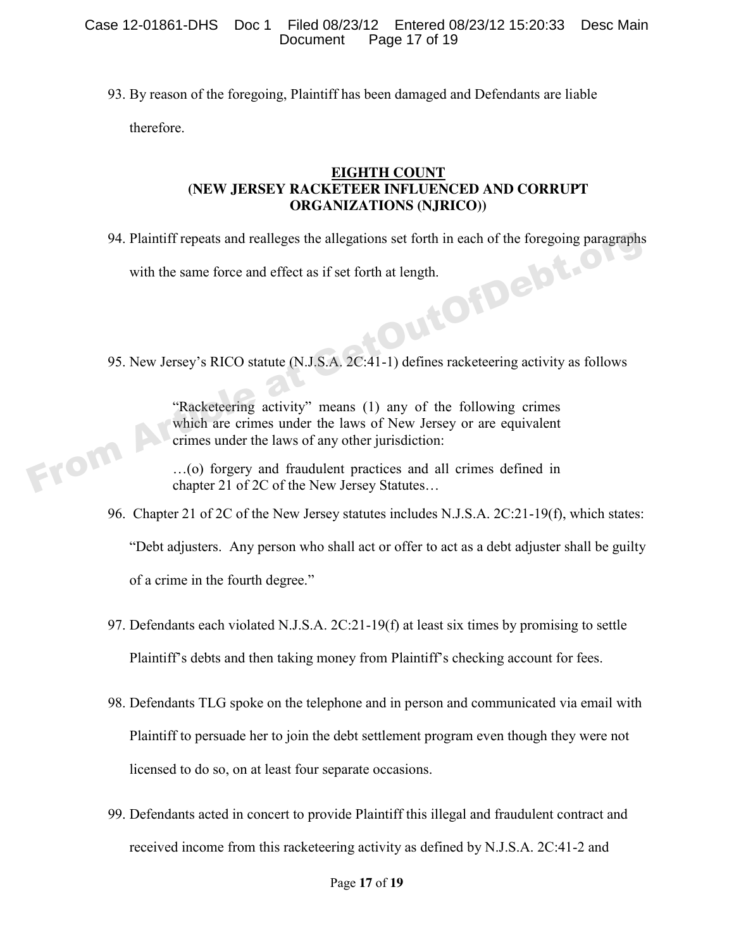93. By reason of the foregoing, Plaintiff has been damaged and Defendants are liable therefore.

#### **EIGHTH COUNT (NEW JERSEY RACKETEER INFLUENCED AND CORRUPT ORGANIZATIONS (NJRICO))**

94. Plaintiff repeats and realleges the allegations set forth in each of the foregoing paragraphs

with the same force and effect as if set forth at length.

95. New Jersey's RICO statute (N.J.S.A. 2C:41-1) defines racketeering activity as follows

"Racketeering activity" means (1) any of the following crimes which are crimes under the laws of New Jersey or are equivalent crimes under the laws of any other jurisdiction: From Article and Set Iorth at length.<br>
95. New Jersey's RICO statute (N.J.S.A. 2C:41-1) defines racketeering activity as following crimes<br>
"Racketeering activity" means (1) any of the following crimes<br>
which are crimes und

…(o) forgery and fraudulent practices and all crimes defined in chapter 21 of 2C of the New Jersey Statutes…

96. Chapter 21 of 2C of the New Jersey statutes includes N.J.S.A. 2C:21-19(f), which states:

"Debt adjusters. Any person who shall act or offer to act as a debt adjuster shall be guilty

of a crime in the fourth degree."

- 97. Defendants each violated N.J.S.A. 2C:21-19(f) at least six times by promising to settle Plaintiff's debts and then taking money from Plaintiff's checking account for fees.
- 98. Defendants TLG spoke on the telephone and in person and communicated via email with Plaintiff to persuade her to join the debt settlement program even though they were not licensed to do so, on at least four separate occasions.
- 99. Defendants acted in concert to provide Plaintiff this illegal and fraudulent contract and received income from this racketeering activity as defined by N.J.S.A. 2C:41-2 and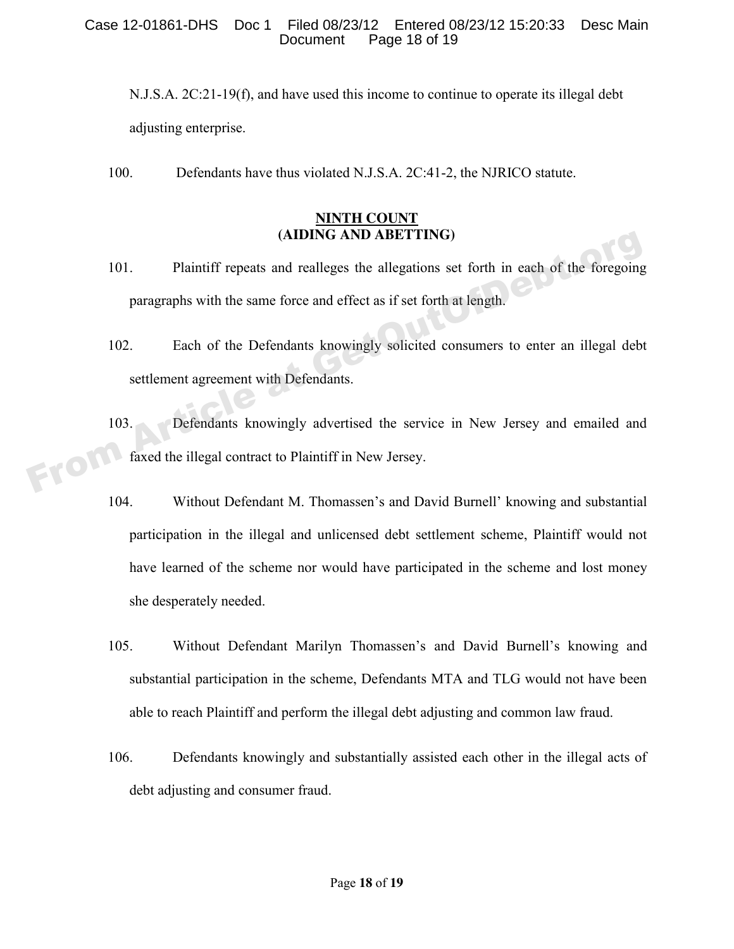#### Case 12-01861-DHS Doc 1 Filed 08/23/12 Entered 08/23/12 15:20:33 Desc Main Page 18 of 19

N.J.S.A. 2C:21-19(f), and have used this income to continue to operate its illegal debt adjusting enterprise.

100. Defendants have thus violated N.J.S.A. 2C:41-2, the NJRICO statute.

## **NINTH COUNT (AIDING AND ABETTING)**

- 101. Plaintiff repeats and realleges the allegations set forth in each of the foregoing paragraphs with the same force and effect as if set forth at length.
- 102. Each of the Defendants knowingly solicited consumers to enter an illegal debt settlement agreement with Defendants.
- 103. Defendants knowingly advertised the service in New Jersey and emailed and faxed the illegal contract to Plaintiff in New Jersey. (ADING AND ABETTING)<br>
101. Plaintiff repeats and realleges the allegations set forth in each of the foregoing<br>
paragraphs with the same force and effect as if set forth at length.<br>
102. Each of the Defendants knowingly sol
	- 104. Without Defendant M. Thomassen's and David Burnell' knowing and substantial participation in the illegal and unlicensed debt settlement scheme, Plaintiff would not have learned of the scheme nor would have participated in the scheme and lost money she desperately needed.
	- 105. Without Defendant Marilyn Thomassen's and David Burnell's knowing and substantial participation in the scheme, Defendants MTA and TLG would not have been able to reach Plaintiff and perform the illegal debt adjusting and common law fraud.
	- 106. Defendants knowingly and substantially assisted each other in the illegal acts of debt adjusting and consumer fraud.